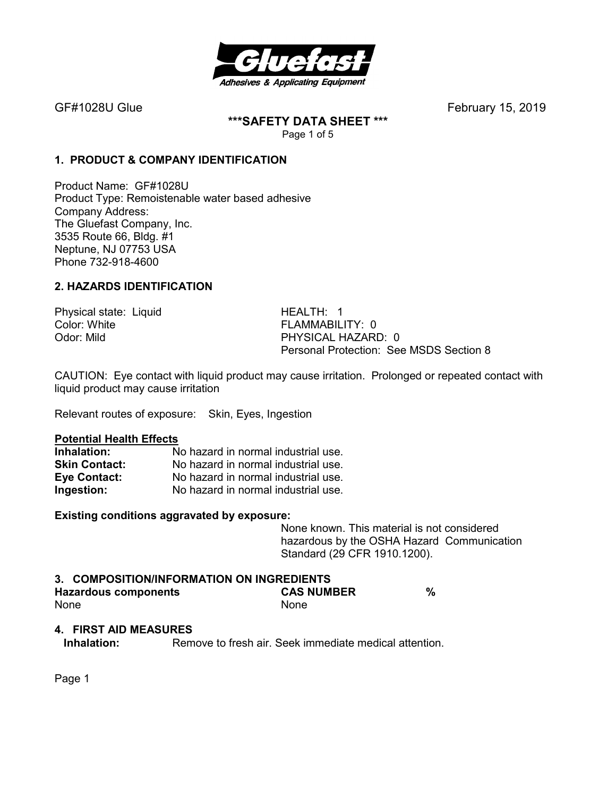

**\*\*\*SAFETY DATA SHEET \*\*\***  Page 1 of 5

# **1. PRODUCT & COMPANY IDENTIFICATION**

Product Name: GF#1028U Product Type: Remoistenable water based adhesive Company Address: The Gluefast Company, Inc. 3535 Route 66, Bldg. #1 Neptune, NJ 07753 USA Phone 732-918-4600

# **2. HAZARDS IDENTIFICATION**

Physical state: Liquid HEALTH: 1<br>Color: White **Highland** Health Health

FLAMMABILITY:  $0$ Odor: Mild PHYSICAL HAZARD: 0 Personal Protection: See MSDS Section 8

CAUTION: Eye contact with liquid product may cause irritation. Prolonged or repeated contact with liquid product may cause irritation

Relevant routes of exposure: Skin, Eyes, Ingestion

#### **Potential Health Effects**

| Inhalation:          | No hazard in normal industrial use. |
|----------------------|-------------------------------------|
| <b>Skin Contact:</b> | No hazard in normal industrial use. |
| Eye Contact:         | No hazard in normal industrial use. |
| Ingestion:           | No hazard in normal industrial use. |

#### **Existing conditions aggravated by exposure:**

None known. This material is not considered hazardous by the OSHA Hazard Communication Standard (29 CFR 1910.1200).

#### **3. COMPOSITION/INFORMATION ON INGREDIENTS Hazardous components CAS NUMBER %**  None None None

## **4. FIRST AID MEASURES**

**Inhalation:** Remove to fresh air. Seek immediate medical attention.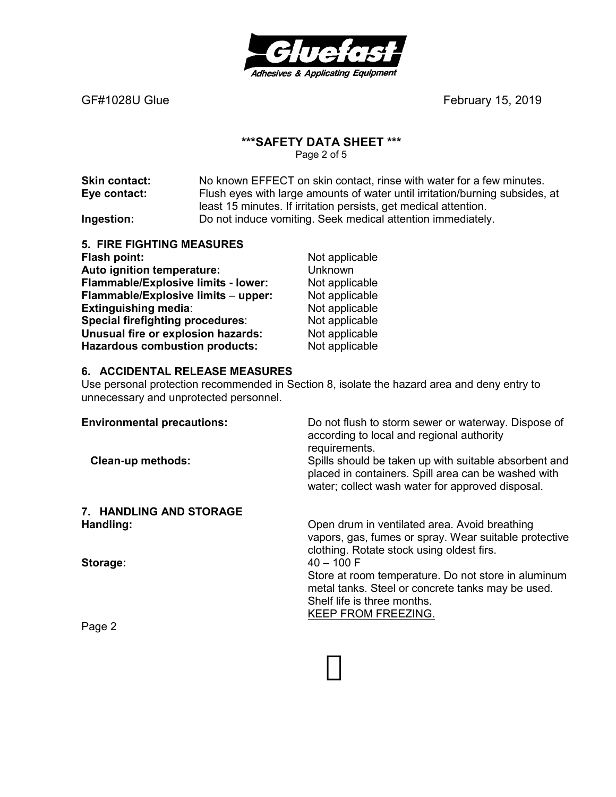

#### **\*\*\*SAFETY DATA SHEET \*\*\***

Page 2 of 5

**Skin contact:** No known EFFECT on skin contact, rinse with water for a few minutes. **Eye contact:** Flush eyes with large amounts of water until irritation/burning subsides, at least 15 minutes. If irritation persists, get medical attention. **Ingestion: Do not induce vomiting. Seek medical attention immediately.** 

| <b>5. FIRE FIGHTING MEASURES</b>           |                |
|--------------------------------------------|----------------|
| Flash point:                               | Not applicable |
| Auto ignition temperature:                 | Unknown        |
| <b>Flammable/Explosive limits - lower:</b> | Not applicable |
| Flammable/Explosive limits - upper:        | Not applicable |
| <b>Extinguishing media:</b>                | Not applicable |
| Special firefighting procedures:           | Not applicable |
| Unusual fire or explosion hazards:         | Not applicable |
| <b>Hazardous combustion products:</b>      | Not applicable |

# **6. ACCIDENTAL RELEASE MEASURES**

Use personal protection recommended in Section 8, isolate the hazard area and deny entry to unnecessary and unprotected personnel.

| <b>Environmental precautions:</b><br><b>Clean-up methods:</b> | Do not flush to storm sewer or waterway. Dispose of<br>according to local and regional authority<br>requirements.<br>Spills should be taken up with suitable absorbent and<br>placed in containers. Spill area can be washed with<br>water; collect wash water for approved disposal. |
|---------------------------------------------------------------|---------------------------------------------------------------------------------------------------------------------------------------------------------------------------------------------------------------------------------------------------------------------------------------|
| 7. HANDLING AND STORAGE                                       |                                                                                                                                                                                                                                                                                       |
| Handling:                                                     | Open drum in ventilated area. Avoid breathing<br>vapors, gas, fumes or spray. Wear suitable protective<br>clothing. Rotate stock using oldest firs.                                                                                                                                   |
| Storage:                                                      | $40 - 100 F$                                                                                                                                                                                                                                                                          |
|                                                               | Store at room temperature. Do not store in aluminum<br>metal tanks. Steel or concrete tanks may be used.<br>Shelf life is three months.<br>KEEP FROM FREEZING.                                                                                                                        |
|                                                               |                                                                                                                                                                                                                                                                                       |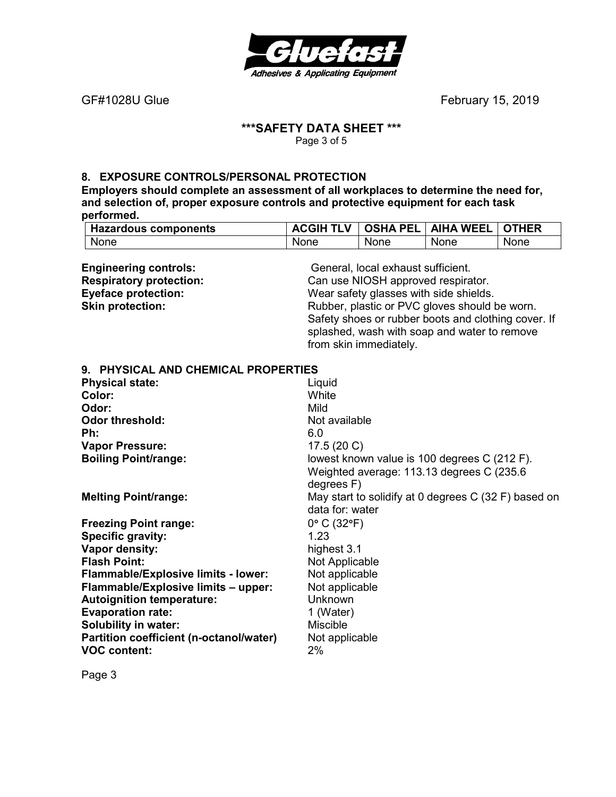

٦

# **\*\*\*SAFETY DATA SHEET \*\*\***

Page 3 of 5

# **8. EXPOSURE CONTROLS/PERSONAL PROTECTION**

**Employers should complete an assessment of all workplaces to determine the need for, and selection of, proper exposure controls and protective equipment for each task performed. Hazardous components ACGIH TLV OSHA PEL AIHA WEEL OTHER**

| <b>Hazardous components</b>             | ACGIH ILV       | USHA PEL                           | AIHA WEEL                                            | UIHER |
|-----------------------------------------|-----------------|------------------------------------|------------------------------------------------------|-------|
| None                                    | None            | None                               | None                                                 | None  |
|                                         |                 |                                    |                                                      |       |
| <b>Engineering controls:</b>            |                 | General, local exhaust sufficient. |                                                      |       |
| <b>Respiratory protection:</b>          |                 | Can use NIOSH approved respirator. |                                                      |       |
| <b>Eyeface protection:</b>              |                 |                                    | Wear safety glasses with side shields.               |       |
| <b>Skin protection:</b>                 |                 |                                    | Rubber, plastic or PVC gloves should be worn.        |       |
|                                         |                 |                                    | Safety shoes or rubber boots and clothing cover. If  |       |
|                                         |                 |                                    | splashed, wash with soap and water to remove         |       |
|                                         |                 | from skin immediately.             |                                                      |       |
| 9. PHYSICAL AND CHEMICAL PROPERTIES     |                 |                                    |                                                      |       |
| <b>Physical state:</b>                  | Liquid          |                                    |                                                      |       |
| Color:                                  | White           |                                    |                                                      |       |
| Odor:                                   | Mild            |                                    |                                                      |       |
| <b>Odor threshold:</b>                  | Not available   |                                    |                                                      |       |
| Ph:                                     | 6.0             |                                    |                                                      |       |
| <b>Vapor Pressure:</b>                  | 17.5 (20 C)     |                                    |                                                      |       |
| <b>Boiling Point/range:</b>             |                 |                                    | lowest known value is 100 degrees C (212 F).         |       |
|                                         |                 |                                    | Weighted average: 113.13 degrees C (235.6)           |       |
|                                         | degrees F)      |                                    |                                                      |       |
| <b>Melting Point/range:</b>             |                 |                                    | May start to solidify at 0 degrees C (32 F) based on |       |
|                                         | data for: water |                                    |                                                      |       |
| <b>Freezing Point range:</b>            | 0° C (32°F)     |                                    |                                                      |       |
| Specific gravity:                       | 1.23            |                                    |                                                      |       |
| Vapor density:                          | highest 3.1     |                                    |                                                      |       |
| <b>Flash Point:</b>                     | Not Applicable  |                                    |                                                      |       |
| Flammable/Explosive limits - lower:     | Not applicable  |                                    |                                                      |       |
| Flammable/Explosive limits - upper:     | Not applicable  |                                    |                                                      |       |
| <b>Autoignition temperature:</b>        | Unknown         |                                    |                                                      |       |
| <b>Evaporation rate:</b>                | 1 (Water)       |                                    |                                                      |       |
| <b>Solubility in water:</b>             | <b>Miscible</b> |                                    |                                                      |       |
| Partition coefficient (n-octanol/water) | Not applicable  |                                    |                                                      |       |
| <b>VOC content:</b>                     | 2%              |                                    |                                                      |       |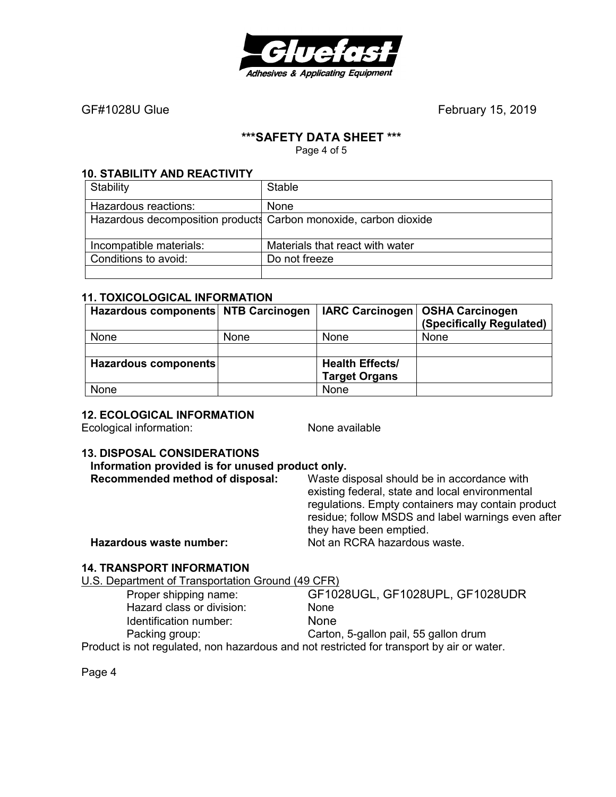

## **\*\*\*SAFETY DATA SHEET \*\*\***

Page 4 of 5

## **10. STABILITY AND REACTIVITY**

| Stability                                                        | <b>Stable</b>                   |
|------------------------------------------------------------------|---------------------------------|
| Hazardous reactions:                                             | <b>None</b>                     |
| Hazardous decomposition products Carbon monoxide, carbon dioxide |                                 |
| Incompatible materials:                                          | Materials that react with water |
| Conditions to avoid:                                             | Do not freeze                   |
|                                                                  |                                 |

#### **11. TOXICOLOGICAL INFORMATION**

| Hazardous components NTB Carcinogen |             |                        | IARC Carcinogen   OSHA Carcinogen |
|-------------------------------------|-------------|------------------------|-----------------------------------|
|                                     |             |                        | (Specifically Regulated)          |
| None                                | <b>None</b> | <b>None</b>            | None                              |
|                                     |             |                        |                                   |
| Hazardous components                |             | <b>Health Effects/</b> |                                   |
|                                     |             | <b>Target Organs</b>   |                                   |
| None                                |             | None                   |                                   |

## **12. ECOLOGICAL INFORMATION**

Ecological information: None available

# **13. DISPOSAL CONSIDERATIONS**

| Information provided is for unused product only. |               |
|--------------------------------------------------|---------------|
| Recommended method of disposal:                  | Waste disposa |

**Recommended method of disposal:** Waste disposal should be in accordance with existing federal, state and local environmental regulations. Empty containers may contain product residue; follow MSDS and label warnings even after they have been emptied. **Hazardous waste number:** Not an RCRA hazardous waste.

# **14. TRANSPORT INFORMATION**

U.S. Department of Transportation Ground (49 CFR)

| Proper shipping name:                                                                    | GF1028UGL, GF1028UPL, GF1028UDR       |
|------------------------------------------------------------------------------------------|---------------------------------------|
| Hazard class or division:                                                                | <b>None</b>                           |
| Identification number:                                                                   | <b>None</b>                           |
| Packing group:                                                                           | Carton, 5-gallon pail, 55 gallon drum |
| Product is not requisted, non hazardous and not restricted for transport by air or water |                                       |

Product is not regulated, non hazardous and not restricted for transport by air or water.